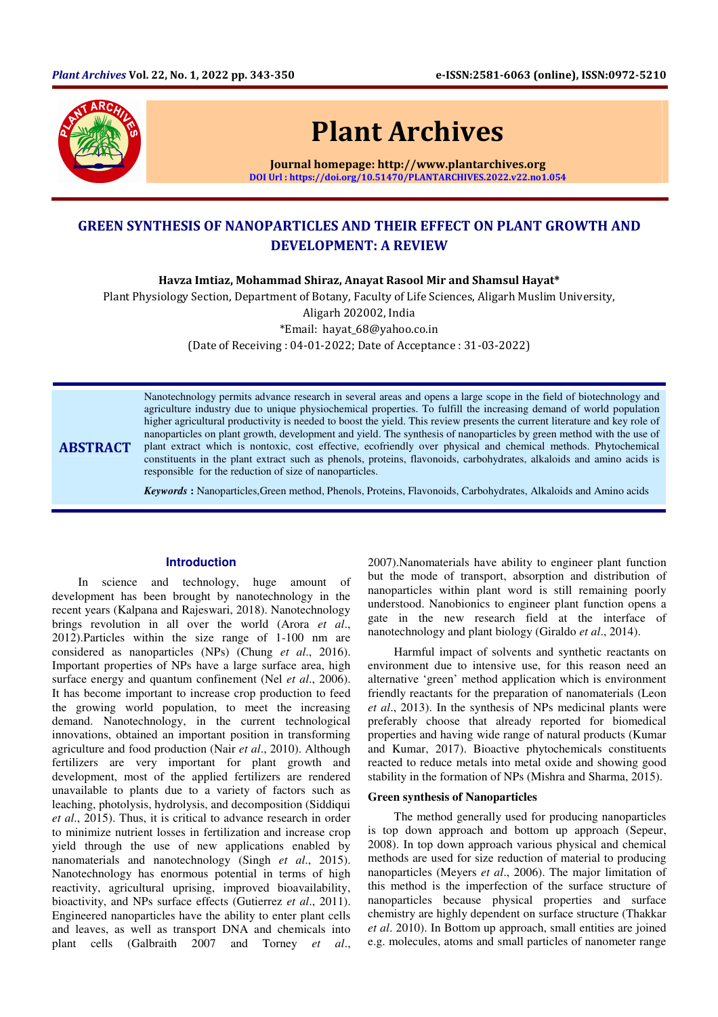

# Plant Archives

Journal homepage: http://www.plantarchives.org DOI Url : https://doi.org/10.51470/PLANTARCHIVES.2022.v22.no1.054

# GREEN SYNTHESIS OF NANOPARTICLES AND THEIR EFFECT ON PLANT GROWTH AND DEVELOPMENT: A REVIEW

Havza Imtiaz, Mohammad Shiraz, Anayat Rasool Mir and Shamsul Hayat\*

Plant Physiology Section, Department of Botany, Faculty of Life Sciences, Aligarh Muslim University,

Aligarh 202002, India

\*Email: hayat\_68@yahoo.co.in

(Date of Receiving : 04-01-2022; Date of Acceptance : 31-03-2022)

ABSTRACT

Nanotechnology permits advance research in several areas and opens a large scope in the field of biotechnology and agriculture industry due to unique physiochemical properties. To fulfill the increasing demand of world population higher agricultural productivity is needed to boost the yield. This review presents the current literature and key role of nanoparticles on plant growth, development and yield. The synthesis of nanoparticles by green method with the use of plant extract which is nontoxic, cost effective, ecofriendly over physical and chemical methods. Phytochemical constituents in the plant extract such as phenols, proteins, flavonoids, carbohydrates, alkaloids and amino acids is responsible for the reduction of size of nanoparticles.

*Keywords* **:** Nanoparticles,Green method, Phenols, Proteins, Flavonoids, Carbohydrates, Alkaloids and Amino acids

## **Introduction**

In science and technology, huge amount of development has been brought by nanotechnology in the recent years (Kalpana and Rajeswari, 2018). Nanotechnology brings revolution in all over the world (Arora *et al*., 2012).Particles within the size range of 1-100 nm are considered as nanoparticles (NPs) (Chung *et al*., 2016). Important properties of NPs have a large surface area, high surface energy and quantum confinement (Nel *et al*., 2006). It has become important to increase crop production to feed the growing world population, to meet the increasing demand. Nanotechnology, in the current technological innovations, obtained an important position in transforming agriculture and food production (Nair *et al*., 2010). Although fertilizers are very important for plant growth and development, most of the applied fertilizers are rendered unavailable to plants due to a variety of factors such as leaching, photolysis, hydrolysis, and decomposition (Siddiqui *et al*., 2015). Thus, it is critical to advance research in order to minimize nutrient losses in fertilization and increase crop yield through the use of new applications enabled by nanomaterials and nanotechnology (Singh *et al*., 2015). Nanotechnology has enormous potential in terms of high reactivity, agricultural uprising, improved bioavailability, bioactivity, and NPs surface effects (Gutierrez *et al*., 2011). Engineered nanoparticles have the ability to enter plant cells and leaves, as well as transport DNA and chemicals into plant cells (Galbraith 2007 and Torney *et al*.,

2007).Nanomaterials have ability to engineer plant function but the mode of transport, absorption and distribution of nanoparticles within plant word is still remaining poorly understood. Nanobionics to engineer plant function opens a gate in the new research field at the interface of nanotechnology and plant biology (Giraldo *et al*., 2014).

Harmful impact of solvents and synthetic reactants on environment due to intensive use, for this reason need an alternative 'green' method application which is environment friendly reactants for the preparation of nanomaterials (Leon *et al*., 2013). In the synthesis of NPs medicinal plants were preferably choose that already reported for biomedical properties and having wide range of natural products (Kumar and Kumar, 2017). Bioactive phytochemicals constituents reacted to reduce metals into metal oxide and showing good stability in the formation of NPs (Mishra and Sharma, 2015).

#### **Green synthesis of Nanoparticles**

The method generally used for producing nanoparticles is top down approach and bottom up approach (Sepeur, 2008). In top down approach various physical and chemical methods are used for size reduction of material to producing nanoparticles (Meyers *et al*., 2006). The major limitation of this method is the imperfection of the surface structure of nanoparticles because physical properties and surface chemistry are highly dependent on surface structure (Thakkar *et al*. 2010). In Bottom up approach, small entities are joined e.g. molecules, atoms and small particles of nanometer range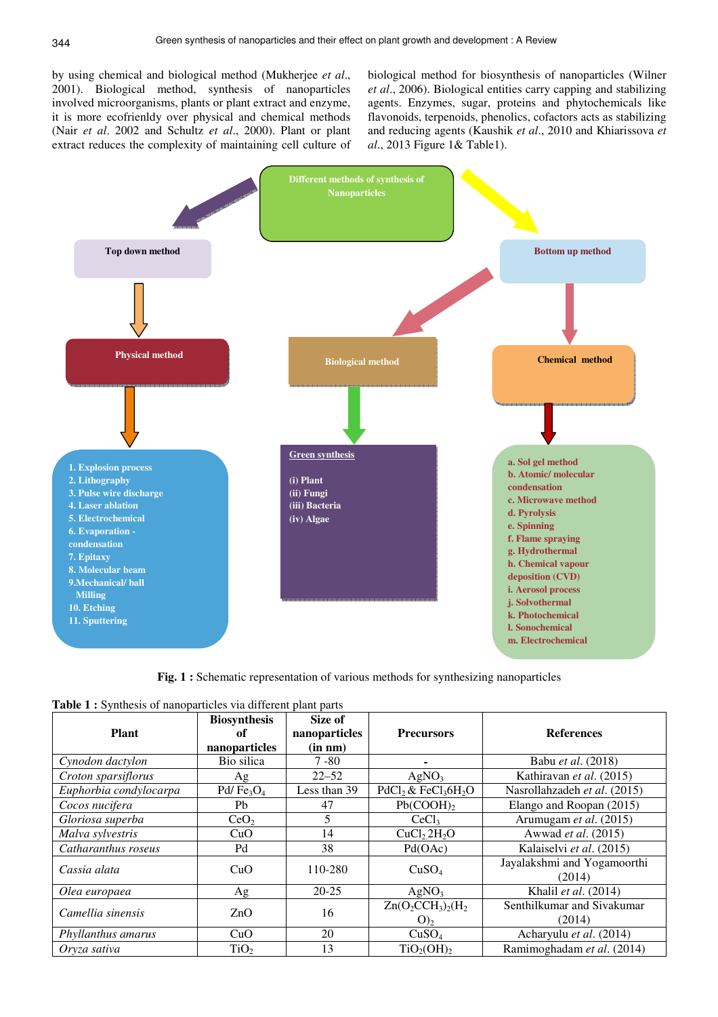by using chemical and biological method (Mukherjee *et al*., 2001). Biological method, synthesis of nanoparticles involved microorganisms, plants or plant extract and enzyme, it is more ecofrienldy over physical and chemical methods (Nair *et al*. 2002 and Schultz *et al*., 2000). Plant or plant extract reduces the complexity of maintaining cell culture of biological method for biosynthesis of nanoparticles (Wilner *et al*., 2006). Biological entities carry capping and stabilizing agents. Enzymes, sugar, proteins and phytochemicals like flavonoids, terpenoids, phenolics, cofactors acts as stabilizing and reducing agents (Kaushik *et al*., 2010 and Khiarissova *et al*., 2013 Figure 1& Table1).



**Fig. 1 :** Schematic representation of various methods for synthesizing nanoparticles

|  |  | <b>Table 1:</b> Synthesis of nanoparticles via different plant parts |
|--|--|----------------------------------------------------------------------|
|--|--|----------------------------------------------------------------------|

| <b>Plant</b>           | <b>Biosynthesis</b><br>of<br>nanoparticles | Size of<br>nanoparticles<br>(in nm) | <b>Precursors</b>                       | <b>References</b>                     |
|------------------------|--------------------------------------------|-------------------------------------|-----------------------------------------|---------------------------------------|
| Cynodon dactylon       | Bio silica                                 | $7 - 80$                            |                                         | Babu et al. (2018)                    |
| Croton sparsiflorus    | Ag                                         | $22 - 52$                           | AgNO <sub>3</sub>                       | Kathiravan et al. (2015)              |
| Euphorbia condylocarpa | Pd/ $Fe3O4$                                | Less than 39                        | $PdCl_2 \& FeCl_36H_2O$                 | Nasrollahzadeh et al. (2015)          |
| Cocos nucifera         | Pb                                         | 47                                  | Pb(COOH)                                | Elango and Roopan (2015)              |
| Gloriosa superba       | CeO <sub>2</sub>                           | 5                                   | CeCl <sub>3</sub>                       | Arumugam et al. (2015)                |
| Malva sylvestris       | CuO                                        | 14                                  | CuCl <sub>2</sub> H <sub>2</sub> O      | Awwad et al. (2015)                   |
| Catharanthus roseus    | Pd                                         | 38                                  | Pd(OAc)                                 | Kalaiselvi et al. (2015)              |
| Cassia alata           | CuO                                        | 110-280                             | CuSO <sub>4</sub>                       | Jayalakshmi and Yogamoorthi<br>(2014) |
| Olea europaea          | Ag                                         | $20 - 25$                           | AgNO <sub>3</sub>                       | Khalil et al. $(2014)$                |
| Camellia sinensis      | ZnO                                        | 16                                  | $Zn(O_2CCH_3)_2(H_2)$<br>O <sub>2</sub> | Senthilkumar and Sivakumar<br>(2014)  |
| Phyllanthus amarus     | CuO                                        | 20                                  | CuSO <sub>4</sub>                       | Acharyulu et al. (2014)               |
| Oryza sativa           | TiO <sub>2</sub>                           | 13                                  | TiO <sub>2</sub> (OH) <sub>2</sub>      | Ramimoghadam et al. (2014)            |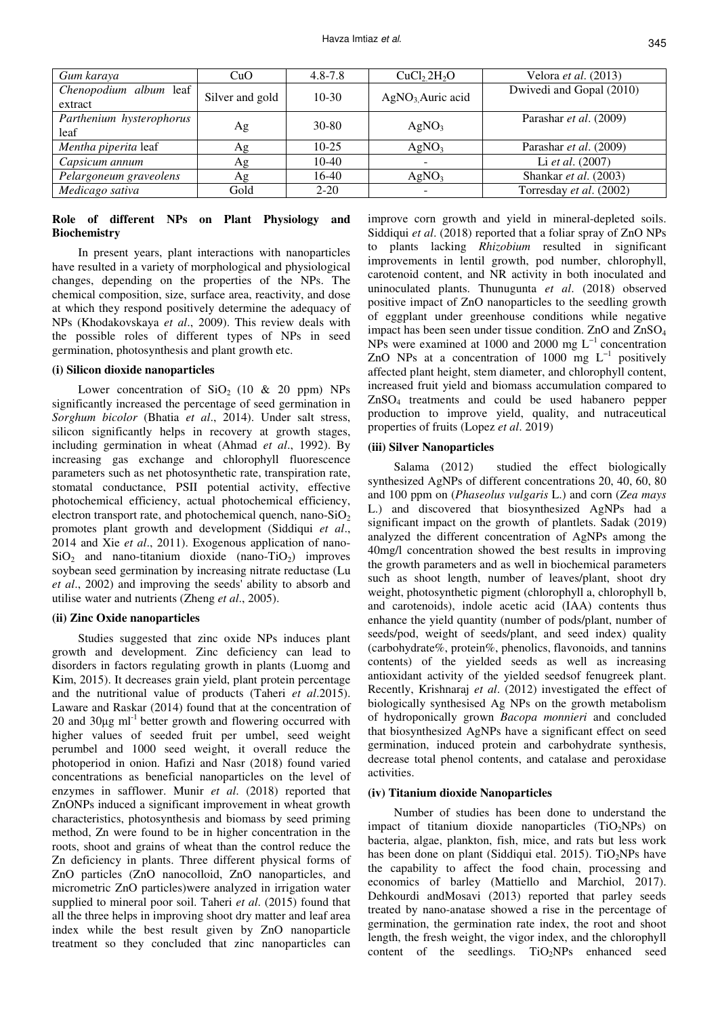| Gum karaya                        | CuO             | $4.8 - 7.8$ | CuCl <sub>2</sub> 2H <sub>2</sub> O | Velora et al. (2013)     |
|-----------------------------------|-----------------|-------------|-------------------------------------|--------------------------|
| Chenopodium album leaf<br>extract | Silver and gold | $10-30$     | AgNO <sub>3</sub> Auric acid        | Dwivedi and Gopal (2010) |
| Parthenium hysterophorus<br>leaf  | Ag              | $30 - 80$   | AgNO <sub>3</sub>                   | Parashar et al. (2009)   |
| Mentha piperita leaf              | Ag              | $10-25$     | AgNO <sub>3</sub>                   | Parashar et al. (2009)   |
| Capsicum annum                    | Ag              | $10-40$     | $\overline{\phantom{a}}$            | Li et al. (2007)         |
| Pelargoneum graveolens            | Ag              | 16-40       | AgNO <sub>3</sub>                   | Shankar et al. (2003)    |
| Medicago sativa                   | Gold            | $2 - 20$    |                                     | Torresday et al. (2002)  |

## **Role of different NPs on Plant Physiology and Biochemistry**

In present years, plant interactions with nanoparticles have resulted in a variety of morphological and physiological changes, depending on the properties of the NPs. The chemical composition, size, surface area, reactivity, and dose at which they respond positively determine the adequacy of NPs (Khodakovskaya *et al*., 2009). This review deals with the possible roles of different types of NPs in seed germination, photosynthesis and plant growth etc.

#### **(i) Silicon dioxide nanoparticles**

Lower concentration of  $SiO<sub>2</sub>$  (10 & 20 ppm) NPs significantly increased the percentage of seed germination in *Sorghum bicolor* (Bhatia *et al*., 2014). Under salt stress, silicon significantly helps in recovery at growth stages, including germination in wheat (Ahmad *et al*., 1992). By increasing gas exchange and chlorophyll fluorescence parameters such as net photosynthetic rate, transpiration rate, stomatal conductance, PSII potential activity, effective photochemical efficiency, actual photochemical efficiency, electron transport rate, and photochemical quench, nano-SiO<sub>2</sub> promotes plant growth and development (Siddiqui *et al*., 2014 and Xie *et al*., 2011). Exogenous application of nano- $SiO<sub>2</sub>$  and nano-titanium dioxide (nano-TiO<sub>2</sub>) improves soybean seed germination by increasing nitrate reductase (Lu *et al*., 2002) and improving the seeds' ability to absorb and utilise water and nutrients (Zheng *et al*., 2005).

#### **(ii) Zinc Oxide nanoparticles**

Studies suggested that zinc oxide NPs induces plant growth and development. Zinc deficiency can lead to disorders in factors regulating growth in plants (Luomg and Kim, 2015). It decreases grain yield, plant protein percentage and the nutritional value of products (Taheri *et al*.2015). Laware and Raskar (2014) found that at the concentration of 20 and  $30\mu$ g m $^{-1}$  better growth and flowering occurred with higher values of seeded fruit per umbel, seed weight perumbel and 1000 seed weight, it overall reduce the photoperiod in onion. Hafizi and Nasr (2018) found varied concentrations as beneficial nanoparticles on the level of enzymes in safflower. Munir *et al*. (2018) reported that ZnONPs induced a significant improvement in wheat growth characteristics, photosynthesis and biomass by seed priming method, Zn were found to be in higher concentration in the roots, shoot and grains of wheat than the control reduce the Zn deficiency in plants. Three different physical forms of ZnO particles (ZnO nanocolloid, ZnO nanoparticles, and micrometric ZnO particles)were analyzed in irrigation water supplied to mineral poor soil. Taheri *et al*. (2015) found that all the three helps in improving shoot dry matter and leaf area index while the best result given by ZnO nanoparticle treatment so they concluded that zinc nanoparticles can

improve corn growth and yield in mineral-depleted soils. Siddiqui *et al*. (2018) reported that a foliar spray of ZnO NPs to plants lacking *Rhizobium* resulted in significant improvements in lentil growth, pod number, chlorophyll, carotenoid content, and NR activity in both inoculated and uninoculated plants. Thunugunta *et al*. (2018) observed positive impact of ZnO nanoparticles to the seedling growth of eggplant under greenhouse conditions while negative impact has been seen under tissue condition. ZnO and ZnSO<sup>4</sup> NPs were examined at 1000 and 2000 mg  $L^{-1}$  concentration ZnO NPs at a concentration of 1000 mg  $L^{-1}$  positively affected plant height, stem diameter, and chlorophyll content, increased fruit yield and biomass accumulation compared to ZnSO4 treatments and could be used habanero pepper production to improve yield, quality, and nutraceutical properties of fruits (Lopez *et al*. 2019)

#### **(iii) Silver Nanoparticles**

Salama (2012) studied the effect biologically synthesized AgNPs of different concentrations 20, 40, 60, 80 and 100 ppm on (*Phaseolus vulgaris* L.) and corn (*Zea mays*  L.) and discovered that biosynthesized AgNPs had a significant impact on the growth of plantlets. Sadak (2019) analyzed the different concentration of AgNPs among the 40mg/l concentration showed the best results in improving the growth parameters and as well in biochemical parameters such as shoot length, number of leaves/plant, shoot dry weight, photosynthetic pigment (chlorophyll a, chlorophyll b, and carotenoids), indole acetic acid (IAA) contents thus enhance the yield quantity (number of pods/plant, number of seeds/pod, weight of seeds/plant, and seed index) quality (carbohydrate%, protein%, phenolics, flavonoids, and tannins contents) of the yielded seeds as well as increasing antioxidant activity of the yielded seedsof fenugreek plant. Recently, Krishnaraj *et al*. (2012) investigated the effect of biologically synthesised Ag NPs on the growth metabolism of hydroponically grown *Bacopa monnieri* and concluded that biosynthesized AgNPs have a significant effect on seed germination, induced protein and carbohydrate synthesis, decrease total phenol contents, and catalase and peroxidase activities.

#### **(iv) Titanium dioxide Nanoparticles**

Number of studies has been done to understand the impact of titanium dioxide nanoparticles  $(TiO<sub>2</sub>NPs)$  on bacteria, algae, plankton, fish, mice, and rats but less work has been done on plant (Siddiqui etal. 2015). TiO<sub>2</sub>NPs have the capability to affect the food chain, processing and economics of barley (Mattiello and Marchiol, 2017). Dehkourdi andMosavi (2013) reported that parley seeds treated by nano-anatase showed a rise in the percentage of germination, the germination rate index, the root and shoot length, the fresh weight, the vigor index, and the chlorophyll content of the seedlings.  $TiO<sub>2</sub>NPs$  enhanced seed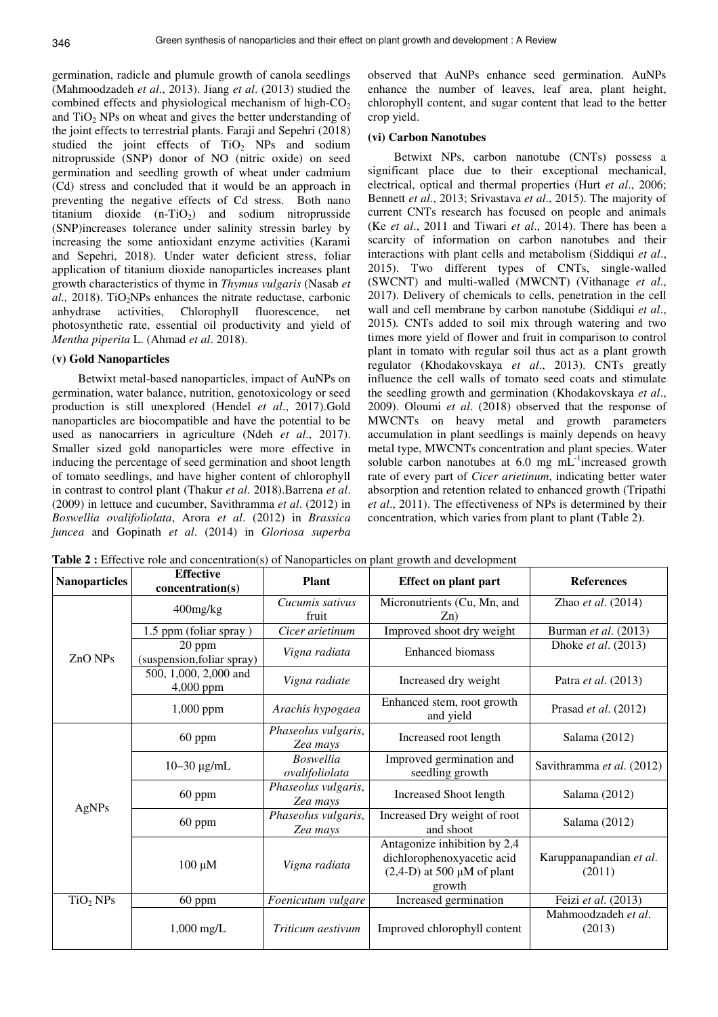germination, radicle and plumule growth of canola seedlings (Mahmoodzadeh *et al*., 2013). Jiang *et al*. (2013) studied the combined effects and physiological mechanism of high- $CO<sub>2</sub>$ and  $TiO<sub>2</sub>$  NPs on wheat and gives the better understanding of the joint effects to terrestrial plants. Faraji and Sepehri (2018) studied the joint effects of  $TiO<sub>2</sub>$  NPs and sodium nitroprusside (SNP) donor of NO (nitric oxide) on seed germination and seedling growth of wheat under cadmium (Cd) stress and concluded that it would be an approach in preventing the negative effects of Cd stress. Both nano titanium dioxide  $(n-TiO<sub>2</sub>)$  and sodium nitroprusside (SNP)increases tolerance under salinity stressin barley by increasing the some antioxidant enzyme activities (Karami and Sepehri, 2018). Under water deficient stress, foliar application of titanium dioxide nanoparticles increases plant growth characteristics of thyme in *Thymus vulgaris* (Nasab *et*  al., 2018). TiO<sub>2</sub>NPs enhances the nitrate reductase, carbonic anhydrase activities, Chlorophyll fluorescence, net photosynthetic rate, essential oil productivity and yield of *Mentha piperita* L. (Ahmad *et al*. 2018).

#### **(v) Gold Nanoparticles**

Betwixt metal-based nanoparticles, impact of AuNPs on germination, water balance, nutrition, genotoxicology or seed production is still unexplored (Hendel *et al*., 2017).Gold nanoparticles are biocompatible and have the potential to be used as nanocarriers in agriculture (Ndeh *et al*., 2017). Smaller sized gold nanoparticles were more effective in inducing the percentage of seed germination and shoot length of tomato seedlings, and have higher content of chlorophyll in contrast to control plant (Thakur *et al*. 2018).Barrena *et al*. (2009) in lettuce and cucumber, Savithramma *et al*. (2012) in *Boswellia ovalifoliolata*, Arora *et al*. (2012) in *Brassica juncea* and Gopinath *et al*. (2014) in *Gloriosa superba*  observed that AuNPs enhance seed germination. AuNPs enhance the number of leaves, leaf area, plant height, chlorophyll content, and sugar content that lead to the better crop yield.

#### **(vi) Carbon Nanotubes**

Betwixt NPs, carbon nanotube (CNTs) possess a significant place due to their exceptional mechanical, electrical, optical and thermal properties (Hurt *et al*., 2006; Bennett *et al*., 2013; Srivastava *et al*., 2015). The majority of current CNTs research has focused on people and animals (Ke *et al*., 2011 and Tiwari *et al*., 2014). There has been a scarcity of information on carbon nanotubes and their interactions with plant cells and metabolism (Siddiqui *et al*., 2015). Two different types of CNTs, single-walled (SWCNT) and multi-walled (MWCNT) (Vithanage *et al*., 2017). Delivery of chemicals to cells, penetration in the cell wall and cell membrane by carbon nanotube (Siddiqui *et al*., 2015)*.* CNTs added to soil mix through watering and two times more yield of flower and fruit in comparison to control plant in tomato with regular soil thus act as a plant growth regulator (Khodakovskaya *et al*., 2013). CNTs greatly influence the cell walls of tomato seed coats and stimulate the seedling growth and germination (Khodakovskaya *et al*., 2009). Oloumi *et al*. (2018) observed that the response of MWCNTs on heavy metal and growth parameters accumulation in plant seedlings is mainly depends on heavy metal type, MWCNTs concentration and plant species. Water soluble carbon nanotubes at 6.0 mg  $mL^{-1}$  increased growth rate of every part of *Cicer arietinum*, indicating better water absorption and retention related to enhanced growth (Tripathi *et al*., 2011). The effectiveness of NPs is determined by their concentration, which varies from plant to plant (Table 2).

| <b>Nanoparticles</b> | <b>Effective</b><br>concentration(s) | <b>Plant</b>                       | <b>Effect on plant part</b>                                                                          | <b>References</b>                 |
|----------------------|--------------------------------------|------------------------------------|------------------------------------------------------------------------------------------------------|-----------------------------------|
|                      | 400mg/kg                             | Cucumis sativus<br>fruit           | Micronutrients (Cu, Mn, and<br>$Z_{n}$                                                               | Zhao et al. (2014)                |
| $ZnO$ NPs            | 1.5 ppm (foliar spray)               | Cicer arietinum                    | Improved shoot dry weight                                                                            | Burman et al. (2013)              |
|                      | 20 ppm<br>(suspension, foliar spray) | Vigna radiata                      | <b>Enhanced biomass</b>                                                                              | Dhoke <i>et al.</i> (2013)        |
|                      | 500, 1,000, 2,000 and<br>4,000 ppm   | Vigna radiate                      | Increased dry weight                                                                                 | Patra et al. (2013)               |
|                      | 1,000 ppm                            | Arachis hypogaea                   | Enhanced stem, root growth<br>and yield                                                              | Prasad et al. (2012)              |
|                      | $60$ ppm                             | Phaseolus vulgaris,<br>Zea mays    | Increased root length                                                                                | Salama $(2012)$                   |
| AgNPs                | $10 - 30$ $\mu$ g/mL                 | <b>Boswellia</b><br>ovalifoliolata | Improved germination and<br>seedling growth                                                          | Savithramma et al. (2012)         |
|                      | 60 ppm                               | Phaseolus vulgaris,<br>Zea mays    | <b>Increased Shoot length</b>                                                                        | Salama (2012)                     |
|                      | $60$ ppm                             | Phaseolus vulgaris,<br>Zea mays    | Increased Dry weight of root<br>and shoot                                                            | Salama (2012)                     |
|                      | $100 \mu M$                          | Vigna radiata                      | Antagonize inhibition by 2,4<br>dichlorophenoxyacetic acid<br>$(2,4-D)$ at 500 µM of plant<br>growth | Karuppanapandian et al.<br>(2011) |
| $TiO2$ NPs           | $60$ ppm                             | Foenicutum vulgare                 | Increased germination                                                                                | Feizi et al. (2013)               |
|                      | $1,000 \text{ mg/L}$                 | Triticum aestivum                  | Improved chlorophyll content                                                                         | Mahmoodzadeh et al.<br>(2013)     |

Table 2 : Effective role and concentration(s) of Nanoparticles on plant growth and development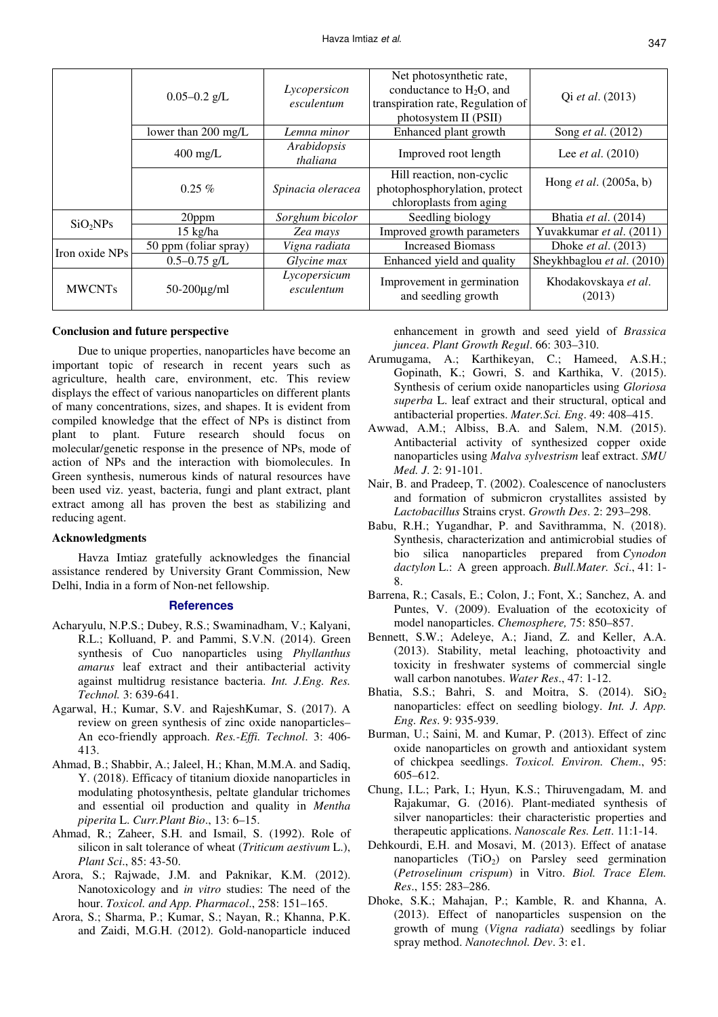|                      | $0.05 - 0.2$ g/L      | Lycopersicon<br>esculentum | Net photosynthetic rate,<br>conductance to $H_2O$ , and<br>transpiration rate, Regulation of<br>photosystem II (PSII) | Qi et al. (2013)                |
|----------------------|-----------------------|----------------------------|-----------------------------------------------------------------------------------------------------------------------|---------------------------------|
|                      | lower than 200 mg/L   | Lemna minor                | Enhanced plant growth                                                                                                 | Song et al. (2012)              |
|                      | $400$ mg/L            | Arabidopsis<br>thaliana    | Improved root length                                                                                                  | Lee <i>et al.</i> $(2010)$      |
|                      | $0.25\%$              | Spinacia oleracea          | Hill reaction, non-cyclic<br>photophosphorylation, protect<br>chloroplasts from aging                                 | Hong <i>et al.</i> $(2005a, b)$ |
| SiO <sub>2</sub> NPs | 20ppm                 | Sorghum bicolor            | Seedling biology                                                                                                      | Bhatia et al. (2014)            |
|                      | $15$ kg/ha            | Zea mays                   | Improved growth parameters                                                                                            | Yuvakkumar et al. (2011)        |
| Iron oxide NPs       | 50 ppm (foliar spray) | Vigna radiata              | <b>Increased Biomass</b>                                                                                              | Dhoke <i>et al.</i> (2013)      |
|                      | $0.5 - 0.75$ g/L      | Glycine max                | Enhanced yield and quality                                                                                            | Sheykhbaglou et al. (2010)      |
| <b>MWCNTs</b>        | $50-200\mu$ g/ml      | Lycopersicum<br>esculentum | Improvement in germination<br>and seedling growth                                                                     | Khodakovskaya et al.<br>(2013)  |

#### **Conclusion and future perspective**

Due to unique properties, nanoparticles have become an important topic of research in recent years such as agriculture, health care, environment, etc. This review displays the effect of various nanoparticles on different plants of many concentrations, sizes, and shapes. It is evident from compiled knowledge that the effect of NPs is distinct from plant to plant. Future research should focus on molecular/genetic response in the presence of NPs, mode of action of NPs and the interaction with biomolecules. In Green synthesis, numerous kinds of natural resources have been used viz. yeast, bacteria, fungi and plant extract, plant extract among all has proven the best as stabilizing and reducing agent.

#### **Acknowledgments**

Havza Imtiaz gratefully acknowledges the financial assistance rendered by University Grant Commission, New Delhi, India in a form of Non-net fellowship.

#### **References**

- Acharyulu, N.P.S.; Dubey, R.S.; Swaminadham, V.; Kalyani, R.L.; Kolluand, P. and Pammi, S.V.N. (2014). Green synthesis of Cuo nanoparticles using *Phyllanthus amarus* leaf extract and their antibacterial activity against multidrug resistance bacteria. *Int. J.Eng. Res. Technol.* 3: 639-641.
- Agarwal, H.; Kumar, S.V. and RajeshKumar, S. (2017). A review on green synthesis of zinc oxide nanoparticles– An eco-friendly approach. *Res.-Effi. Technol*. 3: 406- 413.
- Ahmad, B.; Shabbir, A.; Jaleel, H.; Khan, M.M.A. and Sadiq, Y. (2018). Efficacy of titanium dioxide nanoparticles in modulating photosynthesis, peltate glandular trichomes and essential oil production and quality in *Mentha piperita* L. *Curr.Plant Bio*., 13: 6–15.
- Ahmad, R.; Zaheer, S.H. and Ismail, S. (1992). Role of silicon in salt tolerance of wheat (*Triticum aestivum* L.), *Plant Sci*., 85: 43-50.
- Arora, S.; Rajwade, J.M. and Paknikar, K.M. (2012). Nanotoxicology and *in vitro* studies: The need of the hour. *Toxicol. and App. Pharmacol*., 258: 151–165.
- Arora, S.; Sharma, P.; Kumar, S.; Nayan, R.; Khanna, P.K. and Zaidi, M.G.H. (2012). Gold-nanoparticle induced

enhancement in growth and seed yield of *Brassica juncea*. *Plant Growth Regul*. 66: 303–310.

- Arumugama, A.; Karthikeyan, C.; Hameed, A.S.H.; Gopinath, K.; Gowri, S. and Karthika, V. (2015). Synthesis of cerium oxide nanoparticles using *Gloriosa superba* L. leaf extract and their structural, optical and antibacterial properties. *Mater.Sci. Eng*. 49: 408–415.
- Awwad, A.M.; Albiss, B.A. and Salem, N.M. (2015). Antibacterial activity of synthesized copper oxide nanoparticles using *Malva sylvestrism* leaf extract. *SMU Med. J*. 2: 91-101.
- Nair, B. and Pradeep, T. (2002). Coalescence of nanoclusters and formation of submicron crystallites assisted by *Lactobacillus* Strains cryst. *Growth Des*. 2: 293–298.
- Babu, R.H.; Yugandhar, P. and Savithramma, N. (2018). Synthesis, characterization and antimicrobial studies of bio silica nanoparticles prepared from *Cynodon dactylon* L.: A green approach. *Bull.Mater. Sci*., 41: 1- 8.
- Barrena, R.; Casals, E.; Colon, J.; Font, X.; Sanchez, A. and Puntes, V. (2009). Evaluation of the ecotoxicity of model nanoparticles. *Chemosphere,* 75: 850–857.
- Bennett, S.W.; Adeleye, A.; Jiand, Z. and Keller, A.A. (2013). Stability, metal leaching, photoactivity and toxicity in freshwater systems of commercial single wall carbon nanotubes. *Water Res*., 47: 1-12.
- Bhatia, S.S.; Bahri, S. and Moitra, S.  $(2014)$ .  $SiO<sub>2</sub>$ nanoparticles: effect on seedling biology. *Int. J. App. Eng. Res*. 9: 935-939.
- Burman, U.; Saini, M. and Kumar, P. (2013). Effect of zinc oxide nanoparticles on growth and antioxidant system of chickpea seedlings. *Toxicol. Environ. Chem*., 95: 605–612.
- Chung, I.L.; Park, I.; Hyun, K.S.; Thiruvengadam, M. and Rajakumar, G. (2016). Plant-mediated synthesis of silver nanoparticles: their characteristic properties and therapeutic applications. *Nanoscale Res. Lett*. 11:1-14.
- Dehkourdi, E.H. and Mosavi, M. (2013). Effect of anatase nanoparticles  $(TiO<sub>2</sub>)$  on Parsley seed germination (*Petroselinum crispum*) in Vitro. *Biol. Trace Elem. Res*., 155: 283–286.
- Dhoke, S.K.; Mahajan, P.; Kamble, R. and Khanna, A. (2013). Effect of nanoparticles suspension on the growth of mung (*Vigna radiata*) seedlings by foliar spray method. *Nanotechnol. Dev*. 3: e1.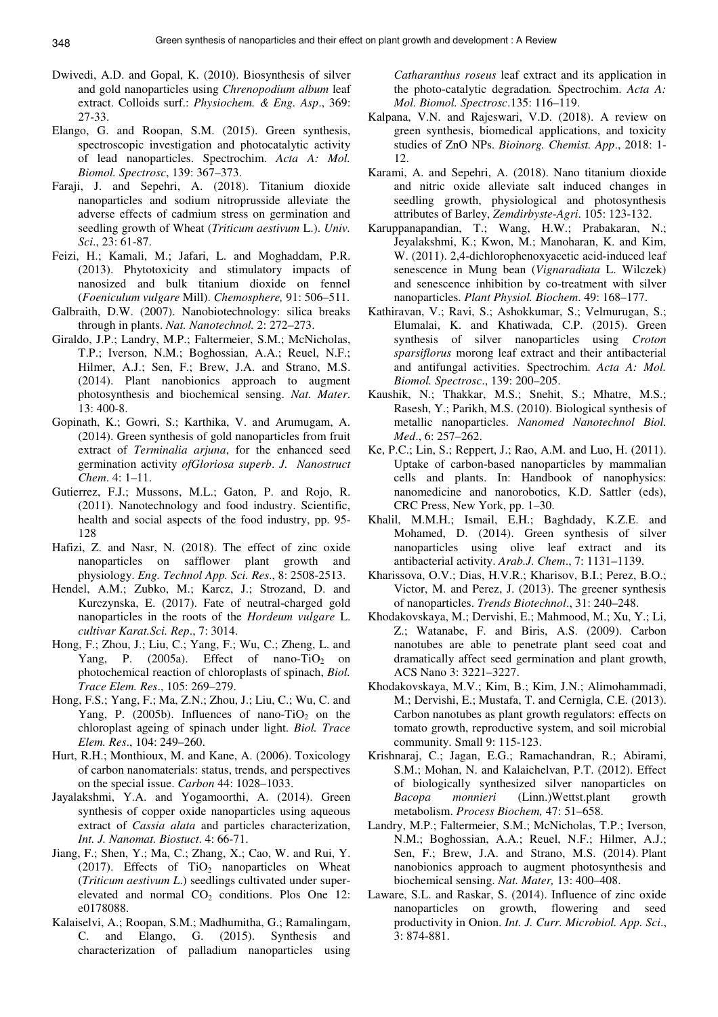- Dwivedi, A.D. and Gopal, K. (2010). Biosynthesis of silver and gold nanoparticles using *Chrenopodium album* leaf extract. Colloids surf.: *Physiochem. & Eng. Asp*., 369: 27-33.
- Elango, G. and Roopan, S.M. (2015). Green synthesis, spectroscopic investigation and photocatalytic activity of lead nanoparticles. Spectrochim. *Acta A: Mol. Biomol. Spectrosc*, 139: 367–373.
- Faraji, J. and Sepehri, A. (2018). Titanium dioxide nanoparticles and sodium nitroprusside alleviate the adverse effects of cadmium stress on germination and seedling growth of Wheat (*Triticum aestivum* L.). *Univ. Sci*., 23: 61-87.
- Feizi, H.; Kamali, M.; Jafari, L. and Moghaddam, P.R. (2013). Phytotoxicity and stimulatory impacts of nanosized and bulk titanium dioxide on fennel (*Foeniculum vulgare* Mill). *Chemosphere,* 91: 506–511.
- Galbraith, D.W. (2007). Nanobiotechnology: silica breaks through in plants. *Nat. Nanotechnol.* 2: 272–273.
- Giraldo, J.P.; Landry, M.P.; Faltermeier, S.M.; McNicholas, T.P.; Iverson, N.M.; Boghossian, A.A.; Reuel, N.F.; Hilmer, A.J.; Sen, F.; Brew, J.A. and Strano, M.S. (2014). Plant nanobionics approach to augment photosynthesis and biochemical sensing. *Nat. Mater*. 13: 400-8.
- Gopinath, K.; Gowri, S.; Karthika, V. and Arumugam, A. (2014). Green synthesis of gold nanoparticles from fruit extract of *Terminalia arjuna*, for the enhanced seed germination activity *ofGloriosa superb*. *J. Nanostruct Chem*. 4: 1–11.
- Gutierrez, F.J.; Mussons, M.L.; Gaton, P. and Rojo, R. (2011). Nanotechnology and food industry. Scientific, health and social aspects of the food industry, pp. 95- 128
- Hafizi, Z. and Nasr, N. (2018). The effect of zinc oxide nanoparticles on safflower plant growth and physiology. *Eng. Technol App. Sci. Res*., 8: 2508-2513.
- Hendel, A.M.; Zubko, M.; Karcz, J.; Strozand, D. and Kurczynska, E. (2017). Fate of neutral-charged gold nanoparticles in the roots of the *Hordeum vulgare* L. *cultivar Karat.Sci. Rep*., 7: 3014.
- Hong, F.; Zhou, J.; Liu, C.; Yang, F.; Wu, C.; Zheng, L. and Yang, P.  $(2005a)$ . Effect of nano-TiO<sub>2</sub> on photochemical reaction of chloroplasts of spinach, *Biol. Trace Elem. Res*., 105: 269–279.
- Hong, F.S.; Yang, F.; Ma, Z.N.; Zhou, J.; Liu, C.; Wu, C. and Yang, P. (2005b). Influences of nano-TiO<sub>2</sub> on the chloroplast ageing of spinach under light. *Biol. Trace Elem. Res*., 104: 249–260.
- Hurt, R.H.; Monthioux, M. and Kane, A. (2006). Toxicology of carbon nanomaterials: status, trends, and perspectives on the special issue. *Carbon* 44: 1028–1033.
- Jayalakshmi, Y.A. and Yogamoorthi, A. (2014). Green synthesis of copper oxide nanoparticles using aqueous extract of *Cassia alata* and particles characterization, *Int. J. Nanomat. Biostuct*. 4: 66-71.
- Jiang, F.; Shen, Y.; Ma, C.; Zhang, X.; Cao, W. and Rui, Y. (2017). Effects of  $TiO<sub>2</sub>$  nanoparticles on Wheat (*Triticum aestivum L*.) seedlings cultivated under superelevated and normal  $CO<sub>2</sub>$  conditions. Plos One 12: e0178088.
- Kalaiselvi, A.; Roopan, S.M.; Madhumitha, G.; Ramalingam, C. and Elango, G. (2015). Synthesis and characterization of palladium nanoparticles using

*Catharanthus roseus* leaf extract and its application in the photo-catalytic degradation*.* Spectrochim. *Acta A: Mol. Biomol. Spectrosc*.135: 116–119.

- Kalpana, V.N. and Rajeswari, V.D. (2018). A review on green synthesis, biomedical applications, and toxicity studies of ZnO NPs. *Bioinorg. Chemist. App*., 2018: 1- 12.
- Karami, A. and Sepehri, A. (2018). Nano titanium dioxide and nitric oxide alleviate salt induced changes in seedling growth, physiological and photosynthesis attributes of Barley, *Zemdirbyste-Agri*. 105: 123-132.
- Karuppanapandian, T.; Wang, H.W.; Prabakaran, N.; Jeyalakshmi, K.; Kwon, M.; Manoharan, K. and Kim, W. (2011). 2,4-dichlorophenoxyacetic acid-induced leaf senescence in Mung bean (*Vignaradiata* L. Wilczek) and senescence inhibition by co-treatment with silver nanoparticles. *Plant Physiol. Biochem*. 49: 168–177.
- Kathiravan, V.; Ravi, S.; Ashokkumar, S.; Velmurugan, S.; Elumalai, K. and Khatiwada, C.P. (2015). Green synthesis of silver nanoparticles using *Croton sparsiflorus* morong leaf extract and their antibacterial and antifungal activities. Spectrochim. *Acta A: Mol. Biomol. Spectrosc*., 139: 200–205.
- Kaushik, N.; Thakkar, M.S.; Snehit, S.; Mhatre, M.S.; Rasesh, Y.; Parikh, M.S. (2010). Biological synthesis of metallic nanoparticles. *Nanomed Nanotechnol Biol. Med*., 6: 257–262.
- Ke, P.C.; Lin, S.; Reppert, J.; Rao, A.M. and Luo, H. (2011). Uptake of carbon-based nanoparticles by mammalian cells and plants. In: Handbook of nanophysics: nanomedicine and nanorobotics, K.D. Sattler (eds), CRC Press, New York, pp. 1–30.
- Khalil, M.M.H.; Ismail, E.H.; Baghdady, K.Z.E. and Mohamed, D. (2014). Green synthesis of silver nanoparticles using olive leaf extract and its antibacterial activity. *Arab.J. Chem*., 7: 1131–1139.
- Kharissova, O.V.; Dias, H.V.R.; Kharisov, B.I.; Perez, B.O.; Victor, M. and Perez, J. (2013). The greener synthesis of nanoparticles. *Trends Biotechnol*., 31: 240–248.
- Khodakovskaya, M.; Dervishi, E.; Mahmood, M.; Xu, Y.; Li, Z.; Watanabe, F. and Biris, A.S. (2009). Carbon nanotubes are able to penetrate plant seed coat and dramatically affect seed germination and plant growth, ACS Nano 3: 3221–3227.
- Khodakovskaya, M.V.; Kim, B.; Kim, J.N.; Alimohammadi, M.; Dervishi, E.; Mustafa, T. and Cernigla, C.E. (2013). Carbon nanotubes as plant growth regulators: effects on tomato growth, reproductive system, and soil microbial community. Small 9: 115-123.
- Krishnaraj, C.; Jagan, E.G.; Ramachandran, R.; Abirami, S.M.; Mohan, N. and Kalaichelvan, P.T. (2012). Effect of biologically synthesized silver nanoparticles on *Bacopa monnieri* (Linn.)Wettst.plant growth metabolism. *Process Biochem,* 47: 51–658.
- Landry, M.P.; Faltermeier, S.M.; McNicholas, T.P.; Iverson, N.M.; Boghossian, A.A.; Reuel, N.F.; Hilmer, A.J.; Sen, F.; Brew, J.A. and Strano, M.S. (2014). Plant nanobionics approach to augment photosynthesis and biochemical sensing. *Nat. Mater,* 13: 400–408.
- Laware, S.L. and Raskar, S. (2014). Influence of zinc oxide nanoparticles on growth, flowering and seed productivity in Onion. *Int. J. Curr. Microbiol. App. Sci*., 3: 874-881.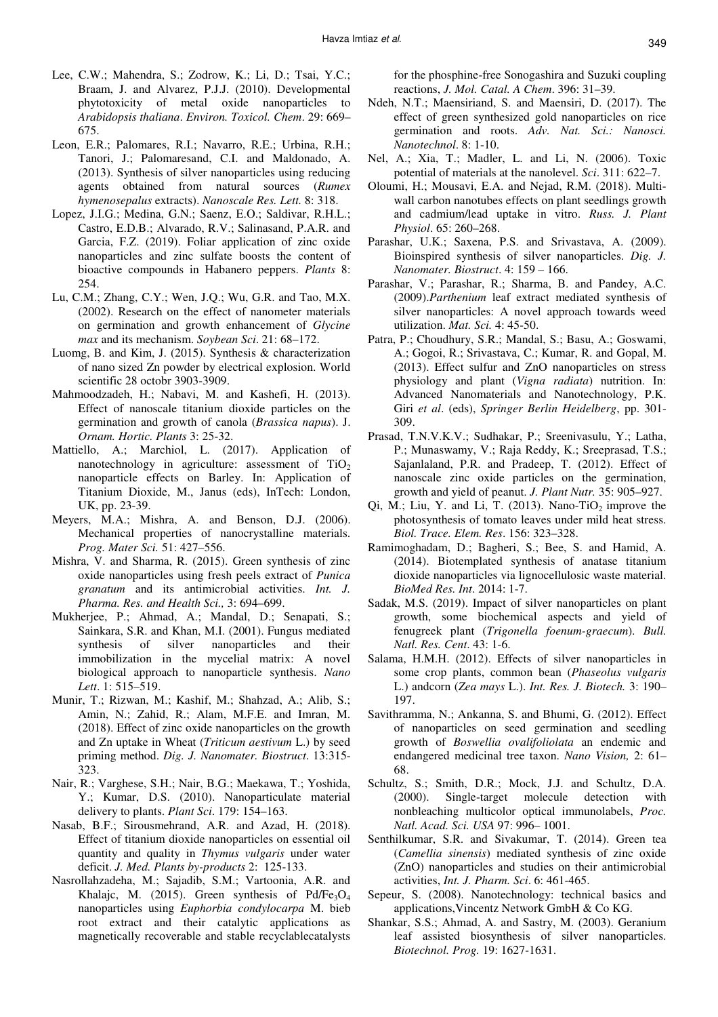- Lee, C.W.; Mahendra, S.; Zodrow, K.; Li, D.; Tsai, Y.C.; Braam, J. and Alvarez, P.J.J. (2010). Developmental phytotoxicity of metal oxide nanoparticles to *Arabidopsis thaliana*. *Environ. Toxicol. Chem*. 29: 669– 675.
- Leon, E.R.; Palomares, R.I.; Navarro, R.E.; Urbina, R.H.; Tanori, J.; Palomaresand, C.I. and Maldonado, A. (2013). Synthesis of silver nanoparticles using reducing agents obtained from natural sources (*Rumex hymenosepalus* extracts). *Nanoscale Res. Lett.* 8: 318.
- Lopez, J.I.G.; Medina, G.N.; Saenz, E.O.; Saldivar, R.H.L.; Castro, E.D.B.; Alvarado, R.V.; Salinasand, P.A.R. and Garcia, F.Z. (2019). Foliar application of zinc oxide nanoparticles and zinc sulfate boosts the content of bioactive compounds in Habanero peppers. *Plants* 8: 254.
- Lu, C.M.; Zhang, C.Y.; Wen, J.Q.; Wu, G.R. and Tao, M.X. (2002). Research on the effect of nanometer materials on germination and growth enhancement of *Glycine max* and its mechanism. *Soybean Sci*. 21: 68–172.
- Luomg, B. and Kim, J. (2015). Synthesis & characterization of nano sized Zn powder by electrical explosion. World scientific 28 octobr 3903-3909.
- Mahmoodzadeh, H.; Nabavi, M. and Kashefi, H. (2013). Effect of nanoscale titanium dioxide particles on the germination and growth of canola (*Brassica napus*). J. *Ornam. Hortic. Plants* 3: 25-32.
- Mattiello, A.; Marchiol, L. (2017). Application of nanotechnology in agriculture: assessment of  $TiO<sub>2</sub>$ nanoparticle effects on Barley. In: Application of Titanium Dioxide, M., Janus (eds), InTech: London, UK, pp. 23-39.
- Meyers, M.A.; Mishra, A. and Benson, D.J. (2006). Mechanical properties of nanocrystalline materials. *Prog. Mater Sci.* 51: 427–556.
- Mishra, V. and Sharma, R. (2015). Green synthesis of zinc oxide nanoparticles using fresh peels extract of *Punica granatum* and its antimicrobial activities. *Int. J. Pharma. Res. and Health Sci.,* 3: 694–699.
- Mukherjee, P.; Ahmad, A.; Mandal, D.; Senapati, S.; Sainkara, S.R. and Khan, M.I. (2001). Fungus mediated synthesis of silver nanoparticles and their immobilization in the mycelial matrix: A novel biological approach to nanoparticle synthesis. *Nano Lett*. 1: 515–519.
- Munir, T.; Rizwan, M.; Kashif, M.; Shahzad, A.; Alib, S.; Amin, N.; Zahid, R.; Alam, M.F.E. and Imran, M. (2018). Effect of zinc oxide nanoparticles on the growth and Zn uptake in Wheat (*Triticum aestivum* L.) by seed priming method. *Dig. J. Nanomater. Biostruct*. 13:315- 323.
- Nair, R.; Varghese, S.H.; Nair, B.G.; Maekawa, T.; Yoshida, Y.; Kumar, D.S. (2010). Nanoparticulate material delivery to plants. *Plant Sci*. 179: 154–163.
- Nasab, B.F.; Sirousmehrand, A.R. and Azad, H. (2018). Effect of titanium dioxide nanoparticles on essential oil quantity and quality in *Thymus vulgaris* under water deficit. *J. Med. Plants by-products* 2: 125-133.
- Nasrollahzadeha, M.; Sajadib, S.M.; Vartoonia, A.R. and Khalaic, M. (2015). Green synthesis of Pd/Fe<sub>3</sub>O<sub>4</sub> nanoparticles using *Euphorbia condylocarpa* M. bieb root extract and their catalytic applications as magnetically recoverable and stable recyclablecatalysts

for the phosphine-free Sonogashira and Suzuki coupling reactions, *J. Mol. Catal. A Chem*. 396: 31–39.

- Ndeh, N.T.; Maensiriand, S. and Maensiri, D. (2017). The effect of green synthesized gold nanoparticles on rice germination and roots. *Adv. Nat. Sci.: Nanosci. Nanotechnol*. 8: 1-10.
- Nel, A.; Xia, T.; Madler, L. and Li, N. (2006). Toxic potential of materials at the nanolevel. *Sci*. 311: 622–7.
- Oloumi, H.; Mousavi, E.A. and Nejad, R.M. (2018). Multiwall carbon nanotubes effects on plant seedlings growth and cadmium/lead uptake in vitro. *Russ. J. Plant Physiol*. 65: 260–268.
- Parashar, U.K.; Saxena, P.S. and Srivastava, A. (2009). Bioinspired synthesis of silver nanoparticles. *Dig. J. Nanomater. Biostruct*. 4: 159 – 166.
- Parashar, V.; Parashar, R.; Sharma, B. and Pandey, A.C. (2009).*Parthenium* leaf extract mediated synthesis of silver nanoparticles: A novel approach towards weed utilization. *Mat. Sci.* 4: 45-50.
- Patra, P.; Choudhury, S.R.; Mandal, S.; Basu, A.; Goswami, A.; Gogoi, R.; Srivastava, C.; Kumar, R. and Gopal, M. (2013). Effect sulfur and ZnO nanoparticles on stress physiology and plant (*Vigna radiata*) nutrition. In: Advanced Nanomaterials and Nanotechnology, P.K. Giri *et al*. (eds), *Springer Berlin Heidelberg*, pp. 301- 309.
- Prasad, T.N.V.K.V.; Sudhakar, P.; Sreenivasulu, Y.; Latha, P.; Munaswamy, V.; Raja Reddy, K.; Sreeprasad, T.S.; Sajanlaland, P.R. and Pradeep, T. (2012). Effect of nanoscale zinc oxide particles on the germination, growth and yield of peanut. *J. Plant Nutr.* 35: 905–927.
- Qi, M.; Liu, Y. and Li, T. (2013). Nano-TiO<sub>2</sub> improve the photosynthesis of tomato leaves under mild heat stress. *Biol. Trace. Elem. Res*. 156: 323–328.
- Ramimoghadam, D.; Bagheri, S.; Bee, S. and Hamid, A. (2014). Biotemplated synthesis of anatase titanium dioxide nanoparticles via lignocellulosic waste material. *BioMed Res. Int*. 2014: 1-7.
- Sadak, M.S. (2019). Impact of silver nanoparticles on plant growth, some biochemical aspects and yield of fenugreek plant (*Trigonella foenum-graecum*). *Bull. Natl. Res. Cent*. 43: 1-6.
- Salama, H.M.H. (2012). Effects of silver nanoparticles in some crop plants, common bean (*Phaseolus vulgaris*  L.) andcorn (*Zea mays* L.). *Int. Res. J. Biotech.* 3: 190– 197.
- Savithramma, N.; Ankanna, S. and Bhumi, G. (2012). Effect of nanoparticles on seed germination and seedling growth of *Boswellia ovalifoliolata* an endemic and endangered medicinal tree taxon. *Nano Vision,* 2: 61– 68.
- Schultz, S.; Smith, D.R.; Mock, J.J. and Schultz, D.A. (2000). Single-target molecule detection with nonbleaching multicolor optical immunolabels, *Proc. Natl. Acad. Sci. USA* 97: 996– 1001.
- Senthilkumar, S.R. and Sivakumar, T. (2014). Green tea (*Camellia sinensis*) mediated synthesis of zinc oxide (ZnO) nanoparticles and studies on their antimicrobial activities, *Int. J. Pharm. Sci*. 6: 461-465.
- Sepeur, S. (2008). Nanotechnology: technical basics and applications,Vincentz Network GmbH & Co KG.
- Shankar, S.S.; Ahmad, A. and Sastry, M. (2003). Geranium leaf assisted biosynthesis of silver nanoparticles. *Biotechnol. Prog.* 19: 1627-1631.